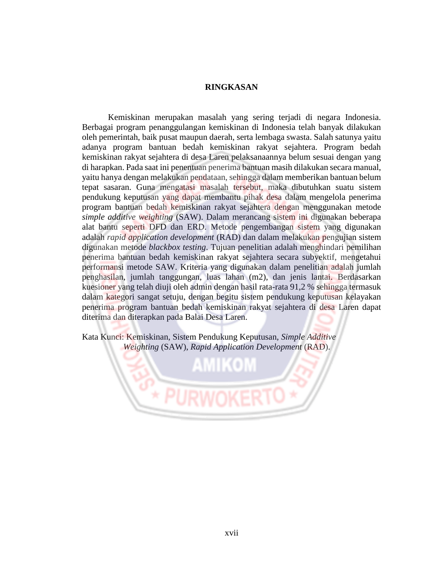## **RINGKASAN**

Kemiskinan merupakan masalah yang sering terjadi di negara Indonesia. Berbagai program penanggulangan kemiskinan di Indonesia telah banyak dilakukan oleh pemerintah, baik pusat maupun daerah, serta lembaga swasta. Salah satunya yaitu adanya program bantuan bedah kemiskinan rakyat sejahtera. Program bedah kemiskinan rakyat sejahtera di desa Laren pelaksanaannya belum sesuai dengan yang di harapkan. Pada saat ini penentuan penerima bantuan masih dilakukan secara manual, yaitu hanya dengan melakukan pendataan, sehingga dalam memberikan bantuan belum tepat sasaran. Guna mengatasi masalah tersebut, maka dibutuhkan suatu sistem pendukung keputusan yang dapat membantu pihak desa dalam mengelola penerima program bantuan bedah kemiskinan rakyat sejahtera dengan menggunakan metode *simple additive weighting* (SAW). Dalam merancang sistem ini digunakan beberapa alat bantu seperti DFD dan ERD. Metode pengembangan sistem yang digunakan adalah *rapid application development* (RAD) dan dalam melakukan pengujian sistem digunakan metode *blackbox testing*. Tujuan penelitian adalah menghindari pemilihan penerima bantuan bedah kemiskinan rakyat sejahtera secara subyektif, mengetahui performansi metode SAW. Kriteria yang digunakan dalam penelitian adalah jumlah penghasilan, jumlah tanggungan, luas lahan (m2), dan jenis lantai. Berdasarkan kuesioner yang telah diuji oleh admin dengan hasil rata-rata 91,2 % sehingga termasuk dalam kategori sangat setuju, dengan begitu sistem pendukung keputusan kelayakan penerima program bantuan bedah kemiskinan rakyat sejahtera di desa Laren dapat diterima dan diterapkan pada Balai Desa Laren.

Kata Kunci: Kemiskinan, Sistem Pendukung Keputusan, *Simple Additive Weighting* (SAW), *Rapid Application Development* (RAD).